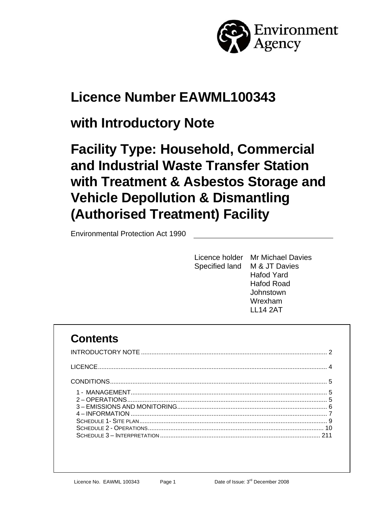

# **Licence Number EAWML100343**

# **with Introductory Note**

# **Facility Type: Household, Commercial and Industrial Waste Transfer Station with Treatment & Asbestos Storage and Vehicle Depollution & Dismantling (Authorised Treatment) Facility**

Environmental Protection Act 1990

| Licence holder Mr Michael Davies |
|----------------------------------|
| Specified land M & JT Davies     |
| Hafod Yard                       |
| Hafod Road                       |
| Johnstown                        |
| Wrexham                          |
| I I 14 2AT                       |
|                                  |

## **Contents**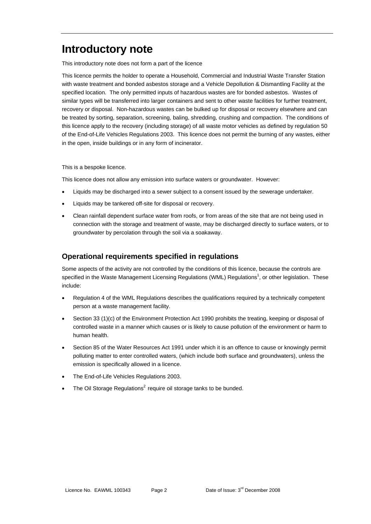## **Introductory note**

This introductory note does not form a part of the licence

This licence permits the holder to operate a Household, Commercial and Industrial Waste Transfer Station with waste treatment and bonded asbestos storage and a Vehicle Depollution & Dismantling Facility at the specified location. The only permitted inputs of hazardous wastes are for bonded asbestos. Wastes of similar types will be transferred into larger containers and sent to other waste facilities for further treatment, recovery or disposal. Non-hazardous wastes can be bulked up for disposal or recovery elsewhere and can be treated by sorting, separation, screening, baling, shredding, crushing and compaction. The conditions of this licence apply to the recovery (including storage) of all waste motor vehicles as defined by regulation 50 of the End-of-Life Vehicles Regulations 2003. This licence does not permit the burning of any wastes, either in the open, inside buildings or in any form of incinerator.

This is a bespoke licence.

This licence does not allow any emission into surface waters or groundwater. However:

- Liquids may be discharged into a sewer subject to a consent issued by the sewerage undertaker.
- Liquids may be tankered off-site for disposal or recovery.
- Clean rainfall dependent surface water from roofs, or from areas of the site that are not being used in connection with the storage and treatment of waste, may be discharged directly to surface waters, or to groundwater by percolation through the soil via a soakaway.

#### **Operational requirements specified in regulations**

Some aspects of the activity are not controlled by the conditions of this licence, because the controls are specified in the Waste Management Licensing Regulations (WML) Regulations<sup>1</sup>, or other legislation. These include:

- Regulation 4 of the WML Regulations describes the qualifications required by a technically competent person at a waste management facility.
- Section 33 (1)(c) of the Environment Protection Act 1990 prohibits the treating, keeping or disposal of controlled waste in a manner which causes or is likely to cause pollution of the environment or harm to human health.
- Section 85 of the Water Resources Act 1991 under which it is an offence to cause or knowingly permit polluting matter to enter controlled waters, (which include both surface and groundwaters), unless the emission is specifically allowed in a licence.
- The End-of-Life Vehicles Regulations 2003.
- The Oil Storage Regulations<sup>2</sup> require oil storage tanks to be bunded.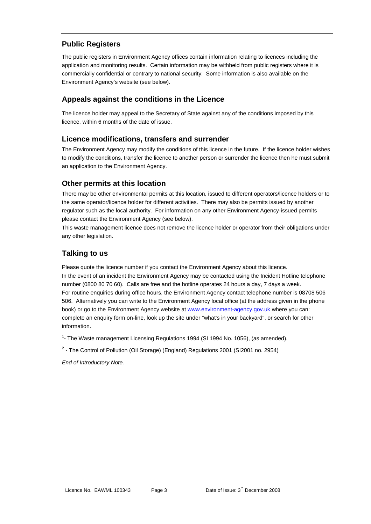#### **Public Registers**

The public registers in Environment Agency offices contain information relating to licences including the application and monitoring results. Certain information may be withheld from public registers where it is commercially confidential or contrary to national security. Some information is also available on the Environment Agency's website (see below).

#### **Appeals against the conditions in the Licence**

The licence holder may appeal to the Secretary of State against any of the conditions imposed by this licence, within 6 months of the date of issue.

#### **Licence modifications, transfers and surrender**

The Environment Agency may modify the conditions of this licence in the future. If the licence holder wishes to modify the conditions, transfer the licence to another person or surrender the licence then he must submit an application to the Environment Agency.

#### **Other permits at this location**

There may be other environmental permits at this location, issued to different operators/licence holders or to the same operator/licence holder for different activities. There may also be permits issued by another regulator such as the local authority. For information on any other Environment Agency-issued permits please contact the Environment Agency (see below).

This waste management licence does not remove the licence holder or operator from their obligations under any other legislation.

#### **Talking to us**

Please quote the licence number if you contact the Environment Agency about this licence. In the event of an incident the Environment Agency may be contacted using the Incident Hotline telephone number (0800 80 70 60). Calls are free and the hotline operates 24 hours a day, 7 days a week. For routine enquiries during office hours, the Environment Agency contact telephone number is 08708 506 506. Alternatively you can write to the Environment Agency local office (at the address given in the phone book) or go to the Environment Agency website at www.environment-agency.gov.uk where you can: complete an enquiry form on-line, look up the site under "what's in your backyard", or search for other information.

<sup>1</sup>- The Waste management Licensing Regulations 1994 (SI 1994 No. 1056), (as amended).

 $2$  - The Control of Pollution (Oil Storage) (England) Regulations 2001 (SI2001 no. 2954)

*End of Introductory Note.*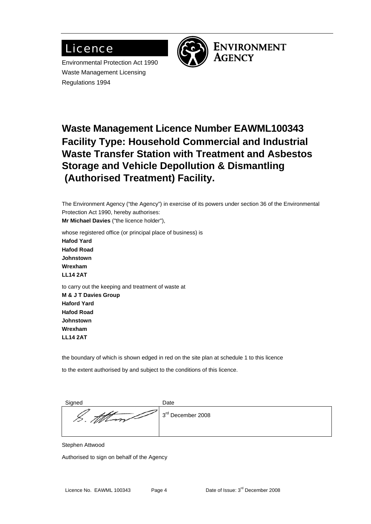## Licence

Environmental Protection Act 1990 Waste Management Licensing Regulations 1994



**ENVIRONMENT AGENCY** 

## **Waste Management Licence Number EAWML100343 Facility Type: Household Commercial and Industrial Waste Transfer Station with Treatment and Asbestos Storage and Vehicle Depollution & Dismantling (Authorised Treatment) Facility.**

The Environment Agency ("the Agency") in exercise of its powers under section 36 of the Environmental Protection Act 1990, hereby authorises:

**Mr Michael Davies** ("the licence holder"),

whose registered office (or principal place of business) is **Hafod Yard Hafod Road Johnstown Wrexham LL14 2AT**  to carry out the keeping and treatment of waste at

**M & J T Davies Group Haford Yard Hafod Road Johnstown Wrexham LL14 2AT** 

the boundary of which is shown edged in red on the site plan at schedule 1 to this licence

to the extent authorised by and subject to the conditions of this licence.

| Signed                                 | Date              |
|----------------------------------------|-------------------|
| $\overline{\phantom{a}}$<br>$\sqrt{U}$ | 3rd December 2008 |
|                                        |                   |

Stephen Attwood

Authorised to sign on behalf of the Agency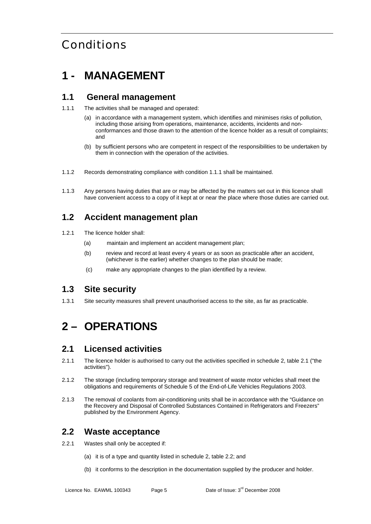## Conditions

## **1 - MANAGEMENT**

### **1.1 General management**

1.1.1 The activities shall be managed and operated:

- (a) in accordance with a management system, which identifies and minimises risks of pollution, including those arising from operations, maintenance, accidents, incidents and nonconformances and those drawn to the attention of the licence holder as a result of complaints; and
- (b) by sufficient persons who are competent in respect of the responsibilities to be undertaken by them in connection with the operation of the activities.
- 1.1.2 Records demonstrating compliance with condition 1.1.1 shall be maintained.
- 1.1.3 Any persons having duties that are or may be affected by the matters set out in this licence shall have convenient access to a copy of it kept at or near the place where those duties are carried out.

### **1.2 Accident management plan**

- 1.2.1 The licence holder shall:
	- (a) maintain and implement an accident management plan;
	- (b) review and record at least every 4 years or as soon as practicable after an accident, (whichever is the earlier) whether changes to the plan should be made;
	- (c) make any appropriate changes to the plan identified by a review.

#### **1.3 Site security**

1.3.1 Site security measures shall prevent unauthorised access to the site, as far as practicable.

## **2 – OPERATIONS**

#### **2.1 Licensed activities**

- 2.1.1 The licence holder is authorised to carry out the activities specified in schedule 2, table 2.1 ("the activities").
- 2.1.2 The storage (including temporary storage and treatment of waste motor vehicles shall meet the obligations and requirements of Schedule 5 of the End-of-Life Vehicles Regulations 2003.
- 2.1.3 The removal of coolants from air-conditioning units shall be in accordance with the "Guidance on the Recovery and Disposal of Controlled Substances Contained in Refrigerators and Freezers" published by the Environment Agency.

### **2.2 Waste acceptance**

- 2.2.1 Wastes shall only be accepted if:
	- (a) it is of a type and quantity listed in schedule 2, table 2.2; and
	- (b) it conforms to the description in the documentation supplied by the producer and holder.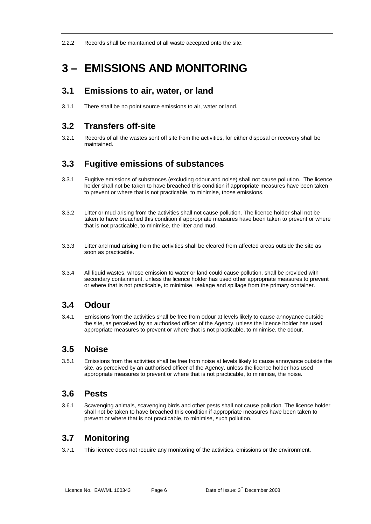2.2.2 Records shall be maintained of all waste accepted onto the site.

## **3 – EMISSIONS AND MONITORING**

### **3.1 Emissions to air, water, or land**

3.1.1 There shall be no point source emissions to air, water or land.

### **3.2 Transfers off-site**

3.2.1 Records of all the wastes sent off site from the activities, for either disposal or recovery shall be maintained.

### **3.3 Fugitive emissions of substances**

- 3.3.1 Fugitive emissions of substances (excluding odour and noise) shall not cause pollution. The licence holder shall not be taken to have breached this condition if appropriate measures have been taken to prevent or where that is not practicable, to minimise, those emissions.
- 3.3.2 Litter or mud arising from the activities shall not cause pollution. The licence holder shall not be taken to have breached this condition if appropriate measures have been taken to prevent or where that is not practicable, to minimise, the litter and mud.
- 3.3.3 Litter and mud arising from the activities shall be cleared from affected areas outside the site as soon as practicable.
- 3.3.4 All liquid wastes, whose emission to water or land could cause pollution, shall be provided with secondary containment, unless the licence holder has used other appropriate measures to prevent or where that is not practicable, to minimise, leakage and spillage from the primary container.

### **3.4 Odour**

3.4.1 Emissions from the activities shall be free from odour at levels likely to cause annoyance outside the site, as perceived by an authorised officer of the Agency, unless the licence holder has used appropriate measures to prevent or where that is not practicable, to minimise, the odour.

### **3.5 Noise**

3.5.1 Emissions from the activities shall be free from noise at levels likely to cause annoyance outside the site, as perceived by an authorised officer of the Agency, unless the licence holder has used appropriate measures to prevent or where that is not practicable, to minimise, the noise.

### **3.6 Pests**

3.6.1 Scavenging animals, scavenging birds and other pests shall not cause pollution. The licence holder shall not be taken to have breached this condition if appropriate measures have been taken to prevent or where that is not practicable, to minimise, such pollution.

### **3.7 Monitoring**

3.7.1 This licence does not require any monitoring of the activities, emissions or the environment.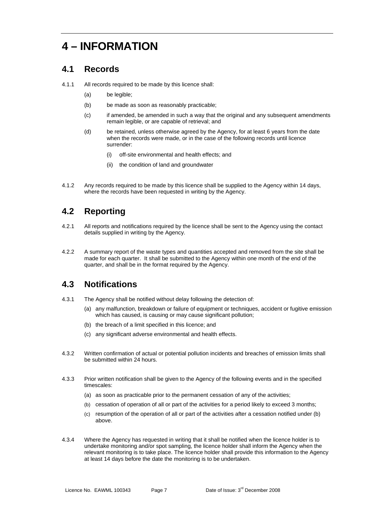## **4 – INFORMATION**

### **4.1 Records**

- 4.1.1 All records required to be made by this licence shall:
	- (a) be legible;
	- (b) be made as soon as reasonably practicable;
	- (c) if amended, be amended in such a way that the original and any subsequent amendments remain legible, or are capable of retrieval; and
	- (d) be retained, unless otherwise agreed by the Agency, for at least 6 years from the date when the records were made, or in the case of the following records until licence surrender:
		- (i) off-site environmental and health effects; and
		- (ii) the condition of land and groundwater
- 4.1.2 Any records required to be made by this licence shall be supplied to the Agency within 14 days, where the records have been requested in writing by the Agency.

### **4.2 Reporting**

- 4.2.1 All reports and notifications required by the licence shall be sent to the Agency using the contact details supplied in writing by the Agency.
- 4.2.2 A summary report of the waste types and quantities accepted and removed from the site shall be made for each quarter. It shall be submitted to the Agency within one month of the end of the quarter, and shall be in the format required by the Agency.

### **4.3 Notifications**

- 4.3.1 The Agency shall be notified without delay following the detection of:
	- (a) any malfunction, breakdown or failure of equipment or techniques, accident or fugitive emission which has caused, is causing or may cause significant pollution;
	- (b) the breach of a limit specified in this licence; and
	- (c) any significant adverse environmental and health effects.
- 4.3.2 Written confirmation of actual or potential pollution incidents and breaches of emission limits shall be submitted within 24 hours.
- 4.3.3 Prior written notification shall be given to the Agency of the following events and in the specified timescales:
	- (a) as soon as practicable prior to the permanent cessation of any of the activities;
	- (b) cessation of operation of all or part of the activities for a period likely to exceed 3 months;
	- (c) resumption of the operation of all or part of the activities after a cessation notified under (b) above.
- 4.3.4 Where the Agency has requested in writing that it shall be notified when the licence holder is to undertake monitoring and/or spot sampling, the licence holder shall inform the Agency when the relevant monitoring is to take place. The licence holder shall provide this information to the Agency at least 14 days before the date the monitoring is to be undertaken.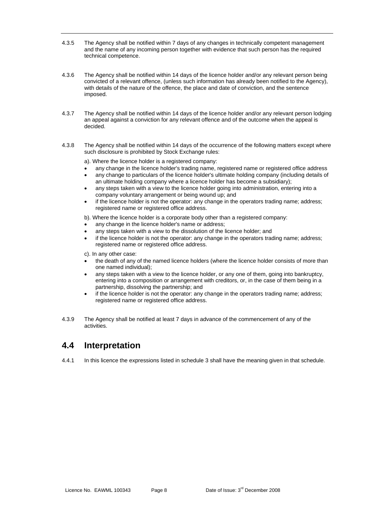- 4.3.5 The Agency shall be notified within 7 days of any changes in technically competent management and the name of any incoming person together with evidence that such person has the required technical competence.
- 4.3.6 The Agency shall be notified within 14 days of the licence holder and/or any relevant person being convicted of a relevant offence, (unless such information has already been notified to the Agency), with details of the nature of the offence, the place and date of conviction, and the sentence imposed.
- 4.3.7 The Agency shall be notified within 14 days of the licence holder and/or any relevant person lodging an appeal against a conviction for any relevant offence and of the outcome when the appeal is decided.
- 4.3.8 The Agency shall be notified within 14 days of the occurrence of the following matters except where such disclosure is prohibited by Stock Exchange rules:

a). Where the licence holder is a registered company:

- any change in the licence holder's trading name, registered name or registered office address
- any change to particulars of the licence holder's ultimate holding company (including details of an ultimate holding company where a licence holder has become a subsidiary);
- any steps taken with a view to the licence holder going into administration, entering into a company voluntary arrangement or being wound up; and
- if the licence holder is not the operator: any change in the operators trading name; address; registered name or registered office address.
- b). Where the licence holder is a corporate body other than a registered company:
- any change in the licence holder's name or address;
- any steps taken with a view to the dissolution of the licence holder; and
- if the licence holder is not the operator: any change in the operators trading name; address; registered name or registered office address.
- c). In any other case:
- the death of any of the named licence holders (where the licence holder consists of more than one named individual);
- any steps taken with a view to the licence holder, or any one of them, going into bankruptcy, entering into a composition or arrangement with creditors, or, in the case of them being in a partnership, dissolving the partnership; and
- if the licence holder is not the operator: any change in the operators trading name; address; registered name or registered office address.
- 4.3.9 The Agency shall be notified at least 7 days in advance of the commencement of any of the activities.

#### **4.4 Interpretation**

4.4.1 In this licence the expressions listed in schedule 3 shall have the meaning given in that schedule.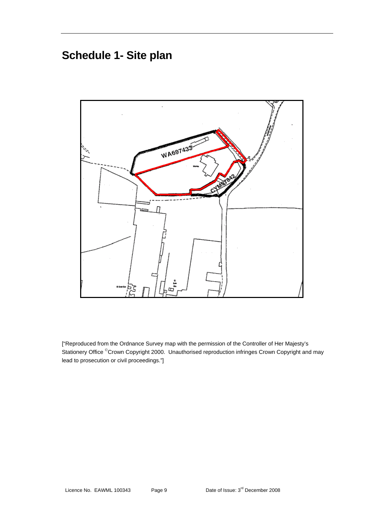## **Schedule 1- Site plan**



["Reproduced from the Ordnance Survey map with the permission of the Controller of Her Majesty's Stationery Office <sup>©</sup>Crown Copyright 2000. Unauthorised reproduction infringes Crown Copyright and may lead to prosecution or civil proceedings."]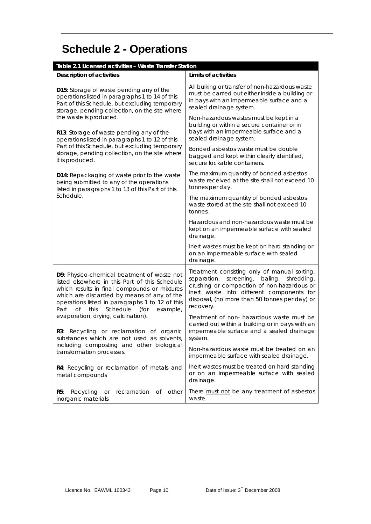# **Schedule 2 - Operations**

| Table 2.1 Licensed activities - Waste Transfer Station                                                                                                                                                                                                                                                      |                                                                                                                                                                                                                                                             |  |
|-------------------------------------------------------------------------------------------------------------------------------------------------------------------------------------------------------------------------------------------------------------------------------------------------------------|-------------------------------------------------------------------------------------------------------------------------------------------------------------------------------------------------------------------------------------------------------------|--|
| <b>Description of activities</b>                                                                                                                                                                                                                                                                            | Limits of activities                                                                                                                                                                                                                                        |  |
| D15: Storage of waste pending any of the<br>operations listed in paragraphs 1 to 14 of this<br>Part of this Schedule, but excluding temporary<br>storage, pending collection, on the site where                                                                                                             | All bulking or transfer of non-hazardous waste<br>must be carried out either inside a building or<br>in bays with an impermeable surface and a<br>sealed drainage system.                                                                                   |  |
| the waste is produced.<br>R13: Storage of waste pending any of the<br>operations listed in paragraphs 1 to 12 of this                                                                                                                                                                                       | Non-hazardous wastes must be kept in a<br>building or within a secure container or in<br>bays with an impermeable surface and a<br>sealed drainage system.                                                                                                  |  |
| Part of this Schedule, but excluding temporary<br>storage, pending collection, on the site where<br>it is produced.                                                                                                                                                                                         | Bonded asbestos waste must be double<br>bagged and kept within clearly identified,<br>secure lockable containers.                                                                                                                                           |  |
| D14: Repackaging of waste prior to the waste<br>being submitted to any of the operations<br>listed in paragraphs 1 to 13 of this Part of this                                                                                                                                                               | The maximum quantity of bonded asbestos<br>waste received at the site shall not exceed 10<br>tonnes per day.                                                                                                                                                |  |
| Schedule.                                                                                                                                                                                                                                                                                                   | The maximum quantity of bonded asbestos<br>waste stored at the site shall not exceed 10<br>tonnes.                                                                                                                                                          |  |
|                                                                                                                                                                                                                                                                                                             | Hazardous and non-hazardous waste must be<br>kept on an impermeable surface with sealed<br>drainage.                                                                                                                                                        |  |
|                                                                                                                                                                                                                                                                                                             | Inert wastes must be kept on hard standing or<br>on an impermeable surface with sealed<br>drainage.                                                                                                                                                         |  |
| D9: Physico-chemical treatment of waste not<br>listed elsewhere in this Part of this Schedule<br>which results in final compounds or mixtures<br>which are discarded by means of any of the<br>operations listed in paragraphs 1 to 12 of this<br>Part<br><b>of</b><br>Schedule<br>this<br>(for<br>example, | Treatment consisting only of manual sorting,<br>separation,<br>screening,<br>baling,<br>shredding,<br>crushing or compaction of non-hazardous or<br>inert waste into different components for<br>disposal, (no more than 50 tonnes per day) or<br>recovery. |  |
| evaporation, drying, calcination).<br>R3: Recycling or reclamation of organic<br>substances which are not used as solvents,                                                                                                                                                                                 | Treatment of non- hazardous waste must be<br>carried out within a building or in bays with an<br>impermeable surface and a sealed drainage<br>system.                                                                                                       |  |
| including composting and other biological<br>transformation processes.                                                                                                                                                                                                                                      | Non-hazardous waste must be treated on an<br>impermeable surface with sealed drainage.                                                                                                                                                                      |  |
| R4: Recycling or reclamation of metals and<br>metal compounds                                                                                                                                                                                                                                               | Inert wastes must be treated on hard standing<br>or on an impermeable surface with sealed<br>drainage.                                                                                                                                                      |  |
| reclamation of<br>R5:<br>Recycling<br>other<br><b>or</b><br>inorganic materials                                                                                                                                                                                                                             | There must not be any treatment of asbestos<br>waste.                                                                                                                                                                                                       |  |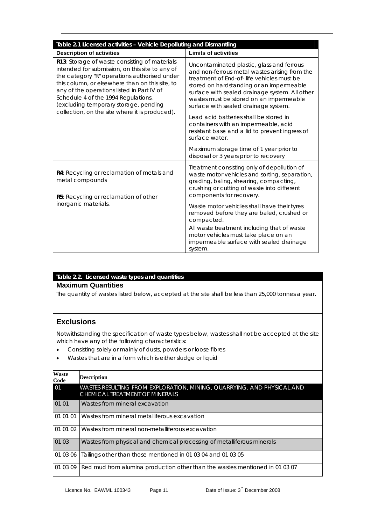| Table 2.1 Licensed activities - Vehicle Depolluting and Dismantling                                                                                                                                                                                                                                                               |                                                                                                                                                                                                                                                                                                                          |  |
|-----------------------------------------------------------------------------------------------------------------------------------------------------------------------------------------------------------------------------------------------------------------------------------------------------------------------------------|--------------------------------------------------------------------------------------------------------------------------------------------------------------------------------------------------------------------------------------------------------------------------------------------------------------------------|--|
| <b>Description of activities</b>                                                                                                                                                                                                                                                                                                  | <b>Limits of activities</b>                                                                                                                                                                                                                                                                                              |  |
| R13: Storage of waste consisting of materials<br>intended for submission, on this site to any of<br>the category "R" operations authorised under<br>this column, or elsewhere than on this site, to<br>any of the operations listed in Part IV of<br>Schedule 4 of the 1994 Regulations,<br>(excluding temporary storage, pending | Uncontaminated plastic, glass and ferrous<br>and non-ferrous metal wastes arising from the<br>treatment of End-of-life vehicles must be<br>stored on hardstanding or an impermeable<br>surface with sealed drainage system. All other<br>wastes must be stored on an impermeable<br>surface with sealed drainage system. |  |
| collection, on the site where it is produced).                                                                                                                                                                                                                                                                                    | Lead acid batteries shall be stored in<br>containers with an impermeable, acid<br>resistant base and a lid to prevent ingress of<br>surface water.                                                                                                                                                                       |  |
|                                                                                                                                                                                                                                                                                                                                   | Maximum storage time of 1 year prior to<br>disposal or 3 years prior to recovery                                                                                                                                                                                                                                         |  |
| R4: Recycling or reclamation of metals and<br>metal compounds<br>R5: Recycling or reclamation of other                                                                                                                                                                                                                            | Treatment consisting only of depollution of<br>waste motor vehicles and sorting, separation,<br>grading, baling, shearing, compacting,<br>crushing or cutting of waste into different<br>components for recovery.                                                                                                        |  |
| inorganic materials.                                                                                                                                                                                                                                                                                                              | Waste motor vehicles shall have their tyres<br>removed before they are baled, crushed or<br>compacted.<br>All waste treatment including that of waste<br>motor vehicles must take place on an                                                                                                                            |  |
|                                                                                                                                                                                                                                                                                                                                   | impermeable surface with sealed drainage<br>system.                                                                                                                                                                                                                                                                      |  |

#### **Table 2.2. Licensed waste types and quantities Maximum Quantities**

The quantity of wastes listed below, accepted at the site shall be less than 25,000 tonnes a year.

#### **Exclusions**

Notwithstanding the specification of waste types below, wastes shall not be accepted at the site which have any of the following characteristics:

- Consisting solely or mainly of dusts, powders or loose fibres
- Wastes that are in a form which is either sludge or liquid

| <b>Waste</b><br>Code | <b>Description</b>                                                                                       |  |
|----------------------|----------------------------------------------------------------------------------------------------------|--|
| 01                   | WASTES RESULTING FROM EXPLORATION, MINING, QUARRYING, AND PHYSICAL AND<br>CHEMICAL TREATMENT OF MINERALS |  |
| 01 01                | Wastes from mineral excavation                                                                           |  |
| 01 01 01             | Wastes from mineral metalliferous excavation                                                             |  |
| 01 01 02             | Wastes from mineral non-metalliferous excavation                                                         |  |
| 01 03                | Wastes from physical and chemical processing of metalliferous minerals                                   |  |
| 01 03 06             | Tailings other than those mentioned in 01 03 04 and 01 03 05                                             |  |
| 01 03 09             | Red mud from alumina production other than the wastes mentioned in 01 03 07                              |  |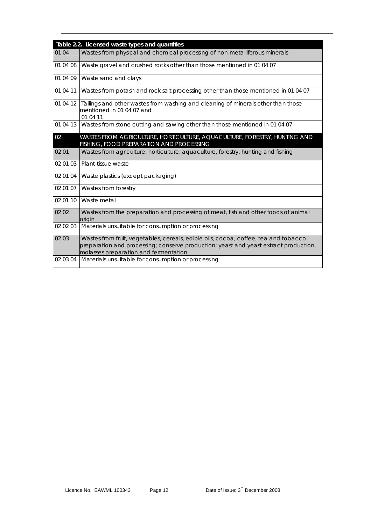|          | Table 2.2. Licensed waste types and quantities                                                                                                                                                                       |
|----------|----------------------------------------------------------------------------------------------------------------------------------------------------------------------------------------------------------------------|
| 01 04    | Wastes from physical and chemical processing of non-metalliferous minerals                                                                                                                                           |
| 01 04 08 | Waste gravel and crushed rocks other than those mentioned in 01 04 07                                                                                                                                                |
| 01 04 09 | Waste sand and clays                                                                                                                                                                                                 |
| 01 04 11 | Wastes from potash and rock salt processing other than those mentioned in 01 04 07                                                                                                                                   |
| 01 04 12 | Tailings and other wastes from washing and cleaning of minerals other than those<br>mentioned in 01 04 07 and<br>01 04 11                                                                                            |
| 01 04 13 | Wastes from stone cutting and sawing other than those mentioned in 01 04 07                                                                                                                                          |
| 02       | WASTES FROM AGRICULTURE, HORTICULTURE, AQUACULTURE, FORESTRY, HUNTING AND<br>FISHING, FOOD PREPARATION AND PROCESSING                                                                                                |
| 02 01    | Wastes from agriculture, horticulture, aquaculture, forestry, hunting and fishing                                                                                                                                    |
| 02 01 03 | Plant-tissue waste                                                                                                                                                                                                   |
| 02 01 04 | Waste plastics (except packaging)                                                                                                                                                                                    |
| 02 01 07 | Wastes from forestry                                                                                                                                                                                                 |
| 02 01 10 | Waste metal                                                                                                                                                                                                          |
| 0202     | Wastes from the preparation and processing of meat, fish and other foods of animal<br>origin                                                                                                                         |
| 02 02 03 | Materials unsuitable for consumption or processing                                                                                                                                                                   |
| 02 03    | Wastes from fruit, vegetables, cereals, edible oils, cocoa, coffee, tea and tobacco<br>preparation and processing; conserve production; yeast and yeast extract production,<br>molasses preparation and fermentation |
| 02 03 04 | Materials unsuitable for consumption or processing                                                                                                                                                                   |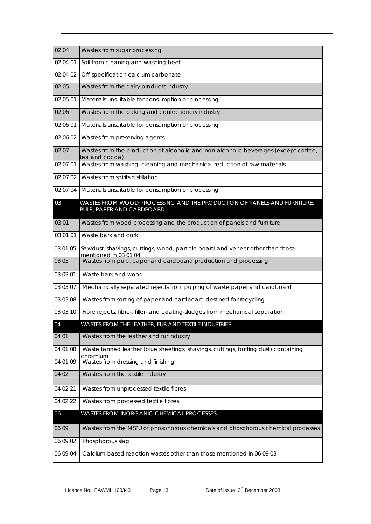| 02 04    | Wastes from sugar processing                                                                           |
|----------|--------------------------------------------------------------------------------------------------------|
| 02 04 01 | Soil from cleaning and washing beet                                                                    |
| 02 04 02 | Off-specification calcium carbonate                                                                    |
| 02 05    | Wastes from the dairy products industry                                                                |
| 02 05 01 | Materials unsuitable for consumption or processing                                                     |
| 02 06    | Wastes from the baking and confectionery industry                                                      |
| 02 06 01 | Materials unsuitable for consumption or processing                                                     |
| 02 06 02 | Wastes from preserving agents                                                                          |
| 02 07    | Wastes from the production of alcoholic and non-alcoholic beverages (except coffee,<br>tea and cocoa)  |
| 02 07 01 | Wastes from washing, cleaning and mechanical reduction of raw materials                                |
| 02 07 02 | Wastes from spirits distillation                                                                       |
| 02 07 04 | Materials unsuitable for consumption or processing                                                     |
| 03       | WASTES FROM WOOD PROCESSING AND THE PRODUCTION OF PANELS AND FURNITURE,<br>PULP, PAPER AND CARDBOARD   |
|          |                                                                                                        |
| 03 01    | Wastes from wood processing and the production of panels and furniture                                 |
| 03 01 01 | Waste bark and cork                                                                                    |
| 03 01 05 | Sawdust, shavings, cuttings, wood, particle board and veneer other than those<br>mentioned in 03 01 04 |
| 03 03    | Wastes from pulp, paper and cardboard production and processing                                        |
| 03 03 01 | Waste bark and wood                                                                                    |
| 03 03 07 | Mechanically separated rejects from pulping of waste paper and cardboard                               |
| 03 03 08 | Wastes from sorting of paper and cardboard destined for recycling                                      |
| 03 03 10 | Fibre rejects, fibre-, filler- and coating-sludges from mechanical separation                          |
| 04       | WASTES FROM THE LEATHER, FUR AND TEXTILE INDUSTRIES                                                    |
| 04 01    | Wastes from the leather and fur industry                                                               |
| 04 01 08 | Waste tanned leather (blue sheetings, shavings, cuttings, buffing dust) containing<br>chromium         |
| 04 01 09 | Wastes from dressing and finishing                                                                     |
| 04 02    | Wastes from the textile industry                                                                       |
| 04 02 21 | Wastes from unprocessed textile fibres                                                                 |
| 04 02 22 | Wastes from processed textile fibres                                                                   |
| 06       | WASTES FROM INORGANIC CHEMICAL PROCESSES                                                               |
| 06 09    | Wastes from the MSFU of phosphorous chemicals and phosphorous chemical processes                       |
| 06 09 02 | Phosphorous slag                                                                                       |
| 06 09 04 | Calcium-based reaction wastes other than those mentioned in 06 09 03                                   |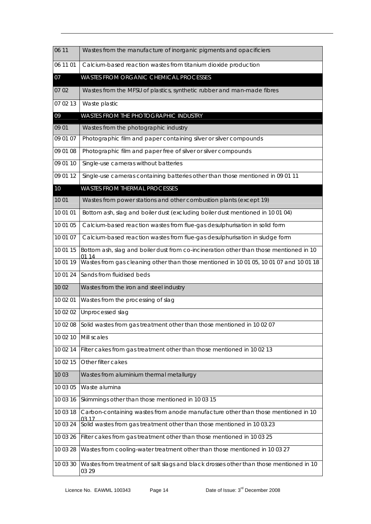| 06 11    | Wastes from the manufacture of inorganic pigments and opacificiers                              |
|----------|-------------------------------------------------------------------------------------------------|
| 06 11 01 | Calcium-based reaction wastes from titanium dioxide production                                  |
| 07       | WASTES FROM ORGANIC CHEMICAL PROCESSES                                                          |
| 07 02    | Wastes from the MFSU of plastics, synthetic rubber and man-made fibres                          |
| 07 02 13 | Waste plastic                                                                                   |
| 09       | WASTES FROM THE PHOTOGRAPHIC INDUSTRY                                                           |
| 09 01    | Wastes from the photographic industry                                                           |
| 09 01 07 | Photographic film and paper containing silver or silver compounds                               |
| 09 01 08 | Photographic film and paper free of silver or silver compounds                                  |
| 09 01 10 | Single-use cameras without batteries                                                            |
| 09 01 12 | Single-use cameras containing batteries other than those mentioned in 09 01 11                  |
| 10       | <b>WASTES FROM THERMAL PROCESSES</b>                                                            |
| 10 01    | Wastes from power stations and other combustion plants (except 19)                              |
| 10 01 01 | Bottom ash, slag and boiler dust (excluding boiler dust mentioned in 10 01 04)                  |
| 10 01 05 | Calcium-based reaction wastes from flue-gas desulphurisation in solid form                      |
| 10 01 07 | Calcium-based reaction wastes from flue-gas desulphurisation in sludge form                     |
| 10 01 15 | Bottom ash, slag and boiler dust from co-incineration other than those mentioned in 10          |
| 10 01 19 | Wastes from gas cleaning other than those mentioned in 10 01 05, 10 01 07 and 10 01 18          |
| 10 01 24 | Sands from fluidised beds                                                                       |
| 10 02    | Wastes from the iron and steel industry                                                         |
| 10 02 01 | Wastes from the processing of slag                                                              |
| 10 02 02 | Unprocessed slag                                                                                |
| 10 02 08 | Solid wastes from gas treatment other than those mentioned in 10 02 07                          |
| 10 02 10 | Mill scales                                                                                     |
| 10 02 14 | Filter cakes from gas treatment other than those mentioned in 10 02 13                          |
| 10 02 15 | Other filter cakes                                                                              |
| 10 03    | Wastes from aluminium thermal metallurgy                                                        |
| 10 03 05 | Waste alumina                                                                                   |
| 10 03 16 | Skimmings other than those mentioned in 10 03 15                                                |
| 10 03 18 | Carbon-containing wastes from anode manufacture other than those mentioned in 10<br>03 17       |
| 10 03 24 | Solid wastes from gas treatment other than those mentioned in 10 03.23                          |
| 10 03 26 | Filter cakes from gas treatment other than those mentioned in 10 03 25                          |
| 10 03 28 | Wastes from cooling-water treatment other than those mentioned in 10 03 27                      |
| 10 03 30 | Wastes from treatment of salt slags and black drosses other than those mentioned in 10<br>03 29 |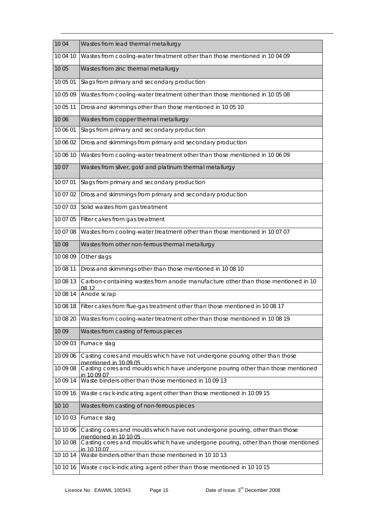| 10 04    | Wastes from lead thermal metallurgy                                                                  |
|----------|------------------------------------------------------------------------------------------------------|
| 10 04 10 | Wastes from cooling-water treatment other than those mentioned in 10 04 09                           |
| 10 05    | Wastes from zinc thermal metallurgy                                                                  |
| 10 05 01 | Slags from primary and secondary production                                                          |
| 10 05 09 | Wastes from cooling-water treatment other than those mentioned in 10 05 08                           |
| 10 05 11 | Dross and skimmings other than those mentioned in 10 05 10                                           |
| 10 06    | Wastes from copper thermal metallurgy                                                                |
| 10 06 01 | Slags from primary and secondary production                                                          |
| 10 06 02 | Dross and skimmings from primary and secondary production                                            |
| 10 06 10 | Wastes from cooling-water treatment other than those mentioned in 10 06 09                           |
| 10 07    | Wastes from silver, gold and platinum thermal metallurgy                                             |
| 10 07 01 | Slags from primary and secondary production                                                          |
| 10 07 02 | Dross and skimmings from primary and secondary production                                            |
| 10 07 03 | Solid wastes from gas treatment                                                                      |
| 10 07 05 | Filter cakes from gas treatment                                                                      |
| 10 07 08 | Wastes from cooling-water treatment other than those mentioned in 10 07 07                           |
| 10 08    | Wastes from other non-ferrous thermal metallurgy                                                     |
| 10 08 09 | Other slags                                                                                          |
| 10 08 11 | Dross and skimmings other than those mentioned in 10 08 10                                           |
| 10 08 13 | Carbon-containing wastes from anode manufacture other than those mentioned in 10<br>08 12            |
| 10 08 14 | Anode scrap                                                                                          |
| 10 08 18 | Filter cakes from flue-gas treatment other than those mentioned in 10 08 17                          |
|          | 10 08 20 Wastes from cooling-water treatment other than those mentioned in 10 08 19                  |
| 10 09    | Wastes from casting of ferrous pieces                                                                |
| 10 09 03 | Furnace slag                                                                                         |
| 10 09 06 | Casting cores and moulds which have not undergone pouring other than those<br>mentioned in 10.09.05  |
| 10 09 08 | Casting cores and moulds which have undergone pouring other than those mentioned<br>in 10.09.07      |
| 10 09 14 | Waste binders other than those mentioned in 10 09 13                                                 |
| 10 09 16 | Waste crack-indicating agent other than those mentioned in 10 09 15                                  |
| 10 10    | Wastes from casting of non-ferrous pieces                                                            |
| 10 10 03 | Furnace slag                                                                                         |
| 10 10 06 | Casting cores and moulds which have not undergone pouring, other than those<br>mentioned in 10 10 05 |
| 10 10 08 | Casting cores and moulds which have undergone pouring, other than those mentioned<br>in 10 10 07     |
| 10 10 14 | Waste binders other than those mentioned in 10 10 13                                                 |
| 10 10 16 | Waste crack-indicating agent other than those mentioned in 10 10 15                                  |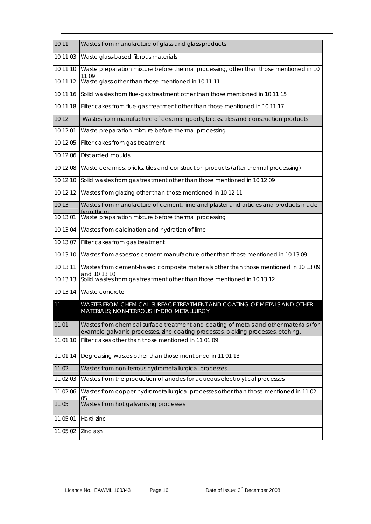| 10 11    | Wastes from manufacture of glass and glass products                                                                                     |
|----------|-----------------------------------------------------------------------------------------------------------------------------------------|
| 10 11 03 | Waste glass-based fibrous materials                                                                                                     |
| 10 11 10 | Waste preparation mixture before thermal processing, other than those mentioned in 10<br>11 09                                          |
| 10 11 12 | Waste glass other than those mentioned in 10 11 11                                                                                      |
| 10 11 16 | Solid wastes from flue-gas treatment other than those mentioned in 10 11 15                                                             |
| 10 11 18 | Filter cakes from flue-gas treatment other than those mentioned in 10 11 17                                                             |
| 10 12    | Wastes from manufacture of ceramic goods, bricks, tiles and construction products                                                       |
| 10 12 01 | Waste preparation mixture before thermal processing                                                                                     |
| 10 12 05 | Filter cakes from gas treatment                                                                                                         |
| 10 12 06 | <b>Discarded moulds</b>                                                                                                                 |
| 10 12 08 | Waste ceramics, bricks, tiles and construction products (after thermal processing)                                                      |
| 10 12 10 | Solid wastes from gas treatment other than those mentioned in 10 12 09                                                                  |
| 10 12 12 | Wastes from glazing other than those mentioned in 10 12 11                                                                              |
| 10 13    | Wastes from manufacture of cement, lime and plaster and articles and products made<br>from them                                         |
| 10 13 01 | Waste preparation mixture before thermal processing                                                                                     |
| 10 13 04 | Wastes from calcination and hydration of lime                                                                                           |
| 10 13 07 | Filter cakes from gas treatment                                                                                                         |
| 10 13 10 | Wastes from asbestos-cement manufacture other than those mentioned in 10 13 09                                                          |
| 10 13 11 | Wastes from cement-based composite materials other than those mentioned in 10 13 09<br>and 10 13 10                                     |
| 10 13 13 | Solid wastes from gas treatment other than those mentioned in 10 13 12                                                                  |
| 10 13 14 | Waste concrete                                                                                                                          |
| 11       | WASTES FROM CHEMICAL SURFACE TREATMENT AND COATING OF METALS AND OTHER<br>MATERIALS; NON-FERROUS HYDRO METALLURGY                       |
| 11 01    | Wastes from chemical surface treatment and coating of metals and other materials (for                                                   |
| 11 01 10 | example galvanic processes, zinc coating processes, pickling processes, etching,<br>Filter cakes other than those mentioned in 11 01 09 |
| 11 01 14 | Degreasing wastes other than those mentioned in 11 01 13                                                                                |
| 11 02    | Wastes from non-ferrous hydrometallurgical processes                                                                                    |
| 11 02 03 | Wastes from the production of anodes for aqueous electrolytical processes                                                               |
| 11 02 06 | Wastes from copper hydrometallurgical processes other than those mentioned in 1102                                                      |
| 11 05    | 05<br>Wastes from hot galvanising processes                                                                                             |
| 11 05 01 | Hard zinc                                                                                                                               |
| 11 05 02 | Zinc ash                                                                                                                                |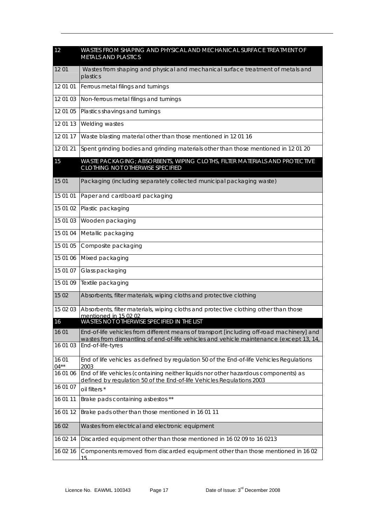| 12               | WASTES FROM SHAPING AND PHYSICAL AND MECHANICAL SURFACE TREATMENT OF<br><b>METALS AND PLASTICS</b>                                                                                   |
|------------------|--------------------------------------------------------------------------------------------------------------------------------------------------------------------------------------|
| 1201             | Wastes from shaping and physical and mechanical surface treatment of metals and<br>plastics                                                                                          |
| 12 01 01         | Ferrous metal filings and turnings                                                                                                                                                   |
| 12 01 03         | Non-ferrous metal filings and turnings                                                                                                                                               |
| 12 01 05         | Plastics shavings and turnings                                                                                                                                                       |
| 12 01 13         | Welding wastes                                                                                                                                                                       |
| 12 01 17         | Waste blasting material other than those mentioned in 12 01 16                                                                                                                       |
| 12 01 21         | Spent grinding bodies and grinding materials other than those mentioned in 12 01 20                                                                                                  |
| 15               | WASTE PACKAGING; ABSORBENTS, WIPING CLOTHS, FILTER MATERIALS AND PROTECTIVE<br><b>CLOTHING NOT OTHERWISE SPECIFIED</b>                                                               |
| 15 01            | Packaging (including separately collected municipal packaging waste)                                                                                                                 |
| 15 01 01         | Paper and cardboard packaging                                                                                                                                                        |
| 15 01 02         | Plastic packaging                                                                                                                                                                    |
| 15 01 03         | Wooden packaging                                                                                                                                                                     |
| 15 01 04         | Metallic packaging                                                                                                                                                                   |
| 15 01 05         | Composite packaging                                                                                                                                                                  |
| 15 01 06         | Mixed packaging                                                                                                                                                                      |
| 15 01 07         | Glass packaging                                                                                                                                                                      |
| 15 01 09         | Textile packaging                                                                                                                                                                    |
| 15 02            | Absorbents, filter materials, wiping cloths and protective clothing                                                                                                                  |
| 15 02 03         | Absorbents, filter materials, wiping cloths and protective clothing other than those                                                                                                 |
| 16               | mentioned in 15.02.02<br>WASTES NOT OTHERWISE SPECIFIED IN THE LIST                                                                                                                  |
| 16 01            | End-of-life vehicles from different means of transport [including off-road machinery] and<br>wastes from dismantling of end-of-life vehicles and vehicle maintenance (except 13, 14, |
| 16 01 03         | End-of-life-tyres                                                                                                                                                                    |
| 16 01<br>$04***$ | End of life vehicles as defined by regulation 50 of the End-of-life Vehicles Regulations<br>2003                                                                                     |
| 16 01 06         | End of life vehicles (containing neither liquids nor other hazardous components) as<br>defined by regulation 50 of the End-of-life Vehicles Regulations 2003                         |
| 16 01 07         | oil filters *                                                                                                                                                                        |
| 16 01 11         | Brake pads containing asbestos **                                                                                                                                                    |
| 16 01 12         | Brake pads other than those mentioned in 16 01 11                                                                                                                                    |
| 16 02            | Wastes from electrical and electronic equipment                                                                                                                                      |
| 16 02 14         | Discarded equipment other than those mentioned in 16 02 09 to 16 0213                                                                                                                |
| 16 02 16         | Components removed from discarded equipment other than those mentioned in 1602<br>15                                                                                                 |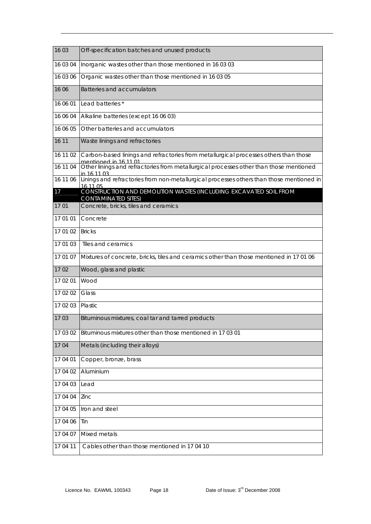| 16 03    | Off-specification batches and unused products                                                                 |
|----------|---------------------------------------------------------------------------------------------------------------|
| 16 03 04 | Inorganic wastes other than those mentioned in 16 03 03                                                       |
| 16 03 06 | Organic wastes other than those mentioned in 16 03 05                                                         |
| 16 06    | Batteries and accumulators                                                                                    |
| 16 06 01 | Lead batteries*                                                                                               |
| 16 06 04 | Alkaline batteries (except 16 06 03)                                                                          |
| 16 06 05 | Other batteries and accumulators                                                                              |
| 16 11    | Waste linings and refractories                                                                                |
| 16 11 02 | Carbon-based linings and refractories from metallurgical processes others than those<br>mentioned in 16 11 01 |
| 16 11 04 | Other linings and refractories from metallurgical processes other than those mentioned<br>in 16 11 03         |
| 16 11 06 | Linings and refractories from non-metallurgical processes others than those mentioned in<br>16 11 05          |
| 17       | CONSTRUCTION AND DEMOLITION WASTES (INCLUDING EXCAVATED SOIL FROM<br><b>CONTAMINATED SITES)</b>               |
| 1701     | Concrete, bricks, tiles and ceramics                                                                          |
| 17 01 01 | Concrete                                                                                                      |
| 17 01 02 | <b>Bricks</b>                                                                                                 |
| 17 01 03 | Tiles and ceramics                                                                                            |
| 17 01 07 | Mixtures of concrete, bricks, tiles and ceramics other than those mentioned in 17 01 06                       |
| 17 02    | Wood, glass and plastic                                                                                       |
| 17 02 01 | Wood                                                                                                          |
| 17 02 02 | Glass                                                                                                         |
| 17 02 03 | Plastic                                                                                                       |
| 1703     | Bituminous mixtures, coal tar and tarred products                                                             |
| 17 03 02 | Bituminous mixtures other than those mentioned in 17 03 01                                                    |
| 1704     | Metals (including their alloys)                                                                               |
| 17 04 01 | Copper, bronze, brass                                                                                         |
| 17 04 02 | Aluminium                                                                                                     |
| 17 04 03 | Lead                                                                                                          |
| 17 04 04 | Zinc                                                                                                          |
| 17 04 05 | Iron and steel                                                                                                |
| 17 04 06 | Tin                                                                                                           |
| 17 04 07 | Mixed metals                                                                                                  |
| 17 04 11 | Cables other than those mentioned in 17 04 10                                                                 |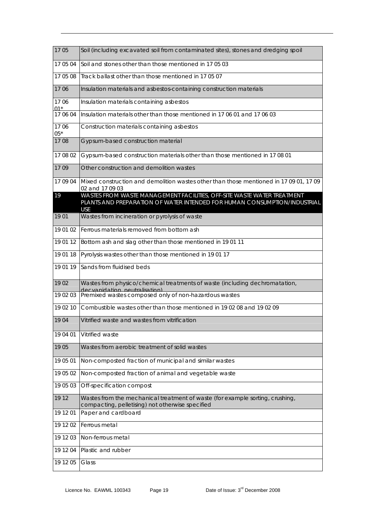| 1705          | Soil (including excavated soil from contaminated sites), stones and dredging spoil                                                                                 |
|---------------|--------------------------------------------------------------------------------------------------------------------------------------------------------------------|
| 17 05 04      | Soil and stones other than those mentioned in 170503                                                                                                               |
| 17 05 08      | Track ballast other than those mentioned in 17 05 07                                                                                                               |
| 1706          | Insulation materials and asbestos-containing construction materials                                                                                                |
| 1706<br>$01*$ | Insulation materials containing asbestos                                                                                                                           |
| 17 06 04      | Insulation materials other than those mentioned in 17 06 01 and 17 06 03                                                                                           |
| 1706<br>$05*$ | Construction materials containing asbestos                                                                                                                         |
| 1708          | Gypsum-based construction material                                                                                                                                 |
| 17 08 02      | Gypsum-based construction materials other than those mentioned in 17 08 01                                                                                         |
| 1709          | Other construction and demolition wastes                                                                                                                           |
| 17 09 04      | Mixed construction and demolition wastes other than those mentioned in 17 09 01, 17 09<br>02 and 17 09 03                                                          |
| 19            | WASTES FROM WASTE MANAGEMENT FACILITIES, OFF-SITE WASTE WATER TREATMENT<br>PLANTS AND PREPARATION OF WATER INTENDED FOR HUMAN CONSUMPTION/INDUSTRIAL<br><b>USE</b> |
| 19 01         | Wastes from incineration or pyrolysis of waste                                                                                                                     |
| 19 01 02      | Ferrous materials removed from bottom ash                                                                                                                          |
| 19 01 12      | Bottom ash and slag other than those mentioned in 19 01 11                                                                                                         |
| 19 01 18      | Pyrolysis wastes other than those mentioned in 19 01 17                                                                                                            |
| 19 01 19      | Sands from fluidised beds                                                                                                                                          |
| 1902          | Wastes from physico/chemical treatments of waste (including dechromatation,<br>decvanidation neutralisation)                                                       |
| 19 02 03      | Premixed wastes composed only of non-hazardous wastes                                                                                                              |
| 19 02 10      | Combustible wastes other than those mentioned in 19 02 08 and 19 02 09                                                                                             |
| 1904          | Vitrified waste and wastes from vitrification                                                                                                                      |
| 19 04 01      | Vitrified waste                                                                                                                                                    |
| 1905          | Wastes from aerobic treatment of solid wastes                                                                                                                      |
| 19 05 01      | Non-composted fraction of municipal and similar wastes                                                                                                             |
| 19 05 02      | Non-composted fraction of animal and vegetable waste                                                                                                               |
| 19 05 03      | Off-specification compost                                                                                                                                          |
| 19 12         | Wastes from the mechanical treatment of waste (for example sorting, crushing,<br>compacting, pelletising) not otherwise specified                                  |
| 19 12 01      | Paper and cardboard                                                                                                                                                |
| 19 12 02      | Ferrous metal                                                                                                                                                      |
| 19 12 03      | Non-ferrous metal                                                                                                                                                  |
| 19 12 04      | Plastic and rubber                                                                                                                                                 |
| 19 12 05      | Glass                                                                                                                                                              |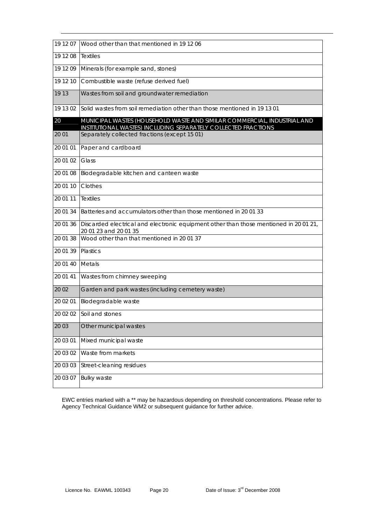| 19 12 07 | Wood other than that mentioned in 19 12 06                                                                                                 |
|----------|--------------------------------------------------------------------------------------------------------------------------------------------|
| 19 12 08 | <b>Textiles</b>                                                                                                                            |
| 19 12 09 | Minerals (for example sand, stones)                                                                                                        |
| 19 12 10 | Combustible waste (refuse derived fuel)                                                                                                    |
| 19 13    | Wastes from soil and groundwater remediation                                                                                               |
| 19 13 02 | Solid wastes from soil remediation other than those mentioned in 19 13 01                                                                  |
| 20       | MUNICIPAL WASTES (HOUSEHOLD WASTE AND SIMILAR COMMERCIAL, INDUSTRIAL AND<br>INSTITUTIONAL WASTES) INCLUDING SEPARATELY COLLECTED FRACTIONS |
| 20 01    | Separately collected fractions (except 15 01)                                                                                              |
| 20 01 01 | Paper and cardboard                                                                                                                        |
| 20 01 02 | Glass                                                                                                                                      |
| 20 01 08 | Biodegradable kitchen and canteen waste                                                                                                    |
| 20 01 10 | Clothes                                                                                                                                    |
| 20 01 11 | <b>Textiles</b>                                                                                                                            |
| 20 01 34 | Batteries and accumulators other than those mentioned in 20 01 33                                                                          |
| 20 01 36 | Discarded electrical and electronic equipment other than those mentioned in 20 01 21,<br>20 01 23 and 20 01 35                             |
| 20 01 38 | Wood other than that mentioned in 20 01 37                                                                                                 |
| 20 01 39 | Plastics                                                                                                                                   |
| 20 01 40 | Metals                                                                                                                                     |
| 20 01 41 | Wastes from chimney sweeping                                                                                                               |
| 20 02    | Garden and park wastes (including cemetery waste)                                                                                          |
| 20 02 01 | Biodegradable waste                                                                                                                        |
|          | 20 02 02 Soil and stones                                                                                                                   |
| 20 03    | Other municipal wastes                                                                                                                     |
| 20 03 01 | Mixed municipal waste                                                                                                                      |
| 20 03 02 | Waste from markets                                                                                                                         |
| 20 03 03 | Street-cleaning residues                                                                                                                   |
| 20 03 07 | <b>Bulky waste</b>                                                                                                                         |

EWC entries marked with a \*\* may be hazardous depending on threshold concentrations. Please refer to Agency Technical Guidance WM2 or subsequent guidance for further advice.